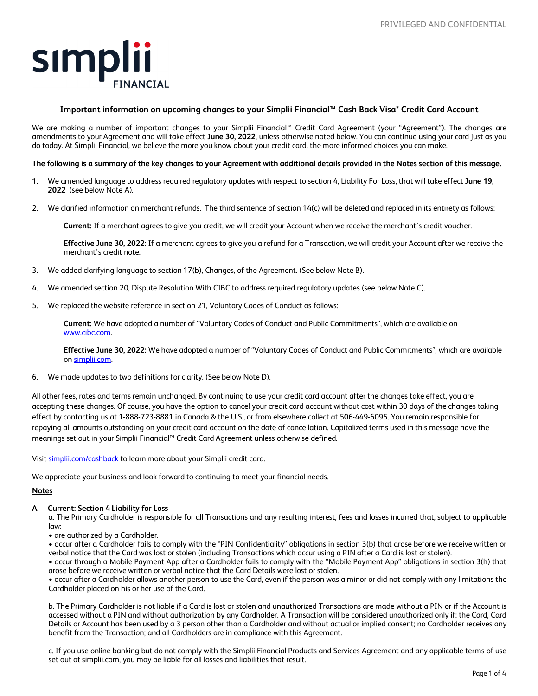

# **Important information on upcoming changes to your Simplii Financial™ Cash Back Visa\* Credit Card Account**

We are making a number of important changes to your Simplii Financial™ Credit Card Agreement (your "Agreement"). The changes are amendments to your Agreement and will take effect **June 30, 2022**, unless otherwise noted below. You can continue using your card just as you do today. At Simplii Financial, we believe the more you know about your credit card, the more informed choices you can make.

#### **The following is a summary of the key changes to your Agreement with additional details provided in the Notes section of this message.**

- 1. We amended language to address required regulatory updates with respect to section 4, Liability For Loss, that will take effect **June 19, 2022** (see below Note A).
- 2. We clarified information on merchant refunds. The third sentence of section 14(c) will be deleted and replaced in its entirety as follows:

**Current:** If a merchant agrees to give you credit, we will credit your Account when we receive the merchant's credit voucher.

**Effective June 30, 2022**: If a merchant agrees to give you a refund for a Transaction, we will credit your Account after we receive the merchant's credit note.

- 3. We added clarifying language to section 17(b), Changes, of the Agreement. (See below Note B).
- 4. We amended section 20, Dispute Resolution With CIBC to address required regulatory updates (see below Note C).
- 5. We replaced the website reference in section 21, Voluntary Codes of Conduct as follows:

**Current:** We have adopted a number of "Voluntary Codes of Conduct and Public Commitments", which are available on <www.cibc.com>.

**Effective June 30, 2022:** We have adopted a number of "Voluntary Codes of Conduct and Public Commitments", which are available on [simplii.com.](https://simplii.com)

6. We made updates to two definitions for clarity. (See below Note D).

All other fees, rates and terms remain unchanged. By continuing to use your credit card account after the changes take effect, you are accepting these changes. Of course, you have the option to cancel your credit card account without cost within 30 days of the changes taking effect by contacting us at 1-888-723-8881 in Canada & the U.S., or from elsewhere collect at 506-449-6095. You remain responsible for repaying all amounts outstanding on your credit card account on the date of cancellation. Capitalized terms used in this message have the meanings set out in your Simplii Financial™ Credit Card Agreement unless otherwise defined.

Visit [simplii.com/cashback](https://simplii.com/cashback) to learn more about your Simplii credit card.

We appreciate your business and look forward to continuing to meet your financial needs.

#### **Notes**

# **A. Current: Section 4 Liability for Loss**

a. The Primary Cardholder is responsible for all Transactions and any resulting interest, fees and losses incurred that, subject to applicable law:

• are authorized by a Cardholder.

• occur after a Cardholder fails to comply with the "PIN Confidentiality" obligations in section 3(b) that arose before we receive written or verbal notice that the Card was lost or stolen (including Transactions which occur using a PIN after a Card is lost or stolen).

• occur through a Mobile Payment App after a Cardholder fails to comply with the "Mobile Payment App" obligations in section 3(h) that arose before we receive written or verbal notice that the Card Details were lost or stolen.

• occur after a Cardholder allows another person to use the Card, even if the person was a minor or did not comply with any limitations the Cardholder placed on his or her use of the Card.

b. The Primary Cardholder is not liable if a Card is lost or stolen and unauthorized Transactions are made without a PIN or if the Account is accessed without a PIN and without authorization by any Cardholder. A Transaction will be considered unauthorized only if: the Card, Card Details or Account has been used by a 3 person other than a Cardholder and without actual or implied consent; no Cardholder receives any benefit from the Transaction; and all Cardholders are in compliance with this Agreement.

c. If you use online banking but do not comply with the Simplii Financial Products and Services Agreement and any applicable terms of use set out at [simplii.com,](https://simplii.com) you may be liable for all losses and liabilities that result.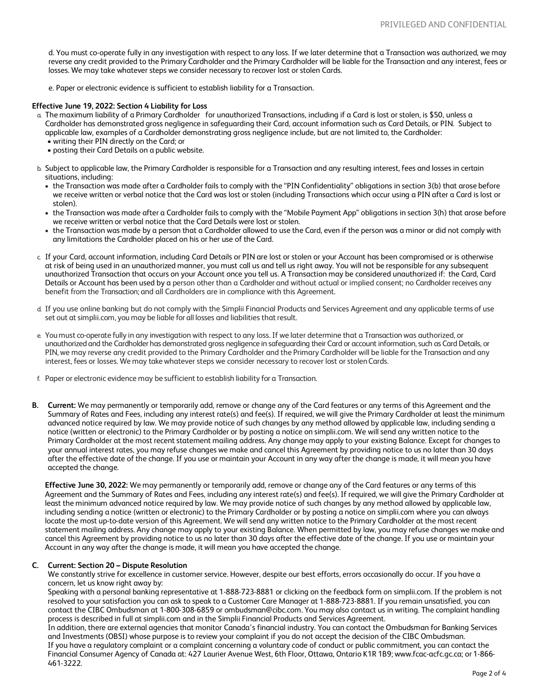d. You must co-operate fully in any investigation with respect to any loss. If we later determine that a Transaction was authorized, we may reverse any credit provided to the Primary Cardholder and the Primary Cardholder will be liable for the Transaction and any interest, fees or losses. We may take whatever steps we consider necessary to recover lost or stolen Cards.

e. Paper or electronic evidence is sufficient to establish liability for a Transaction.

## **Effective June 19, 2022: Section 4 Liability for Loss**

- a. The maximum liability of a Primary Cardholder for unauthorized Transactions, including if a Card is lost or stolen, is \$50, unless a Cardholder has demonstrated gross negligence in safeguarding their Card, account information such as Card Details, or PIN. Subject to applicable law, examples of a Cardholder demonstrating gross negligence include, but are not limited to, the Cardholder: • writing their PIN directly on the Card; or
	- posting their Card Details on a public website.
- b. Subject to applicable law, the Primary Cardholder is responsible for a Transaction and any resulting interest, fees and losses in certain situations, including:
	- the Transaction was made after a Cardholder fails to comply with the "PIN Confidentiality" obligations in section 3(b) that arose before we receive written or verbal notice that the Card was lost or stolen (including Transactions which occur using a PIN after a Card is lost or stolen).
	- the Transaction was made after a Cardholder fails to comply with the "Mobile Payment App" obligations in section 3(h) that arose before we receive written or verbal notice that the Card Details were lost or stolen.
	- the Transaction was made by a person that a Cardholder allowed to use the Card, even if the person was a minor or did not comply with any limitations the Cardholder placed on his or her use of the Card.
- c. If your Card, account information, including Card Details or PIN are lost or stolen or your Account has been compromised or is otherwise at risk of being used in an unauthorized manner, you must call us and tell us right away. You will not be responsible for any subsequent unauthorized Transaction that occurs on your Account once you tell us. A Transaction may be considered unauthorized if: the Card, Card Details or Account has been used by a person other than a Cardholder and without actual or implied consent; no Cardholder receives any benefit from the Transaction; and all Cardholders are in compliance with this Agreement.
- d. If you use online banking but do not comply with the Simplii Financial Products and Services Agreement and any applicable terms of use set out at [simplii.com](https://simplii.com), you may be liable for all losses and liabilities that result.
- e. You must co-operate fully in any investigation with respect to any loss. If we later determine that a Transaction was authorized, or unauthorized and the Cardholder has demonstrated gross negligence in safeguarding their Card or account information, such as Card Details, or PIN, we may reverse any credit provided to the Primary Cardholder and the Primary Cardholder will be liable for the Transaction and any interest, fees or losses. We may take whatever steps we consider necessary to recover lost or stolen Cards.
- f. Paper or electronic evidence may be sufficient to establish liability for a Transaction.
- **B. Current:** We may permanently or temporarily add, remove or change any of the Card features or any terms of this Agreement and the Summary of Rates and Fees, including any interest rate(s) and fee(s). If required, we will give the Primary Cardholder at least the minimum advanced notice required by law. We may provide notice of such changes by any method allowed by applicable law, including sending a notice (written or electronic) to the Primary Cardholder or by posting a notice on [simplii.com](https://simplii.com). We will send any written notice to the Primary Cardholder at the most recent statement mailing address. Any change may apply to your existing Balance. Except for changes to your annual interest rates, you may refuse changes we make and cancel this Agreement by providing notice to us no later than 30 days after the effective date of the change. If you use or maintain your Account in any way after the change is made, it will mean you have accepted the change.

**Effective June 30, 2022:** We may permanently or temporarily add, remove or change any of the Card features or any terms of this Agreement and the Summary of Rates and Fees, including any interest rate(s) and fee(s). If required, we will give the Primary Cardholder at least the minimum advanced notice required by law. We may provide notice of such changes by any method allowed by applicable law, including sending a notice (written or electronic) to the Primary Cardholder or by posting a notice on [simplii.com](https://simplii.com) where you can always locate the most up-to-date version of this Agreement. We will send any written notice to the Primary Cardholder at the most recent statement mailing address. Any change may apply to your existing Balance. When permitted by law, you may refuse changes we make and cancel this Agreement by providing notice to us no later than 30 days after the effective date of the change. If you use or maintain your Account in any way after the change is made, it will mean you have accepted the change.

# **C. Current: Section 20 – Dispute Resolution**

We constantly strive for excellence in customer service. However, despite our best efforts, errors occasionally do occur. If you have a concern, let us know right away by:

Speaking with a personal banking representative at 1-888-723-8881 or clicking on the feedback form on [simplii.com](https://simplii.com). If the problem is not resolved to your satisfaction you can ask to speak to a Customer Care Manager at 1-888-723-8881. If you remain unsatisfied, you can contact the CIBC Ombudsman at 1-800-308-6859 or [ombudsman@cibc.com.](mailto:ombudsman@cibc.com) You may also contact us in writing. The complaint handling process is described in full at [simplii.com](https://simplii.com) and in the Simplii Financial Products and Services Agreement.

In addition, there are external agencies that monitor Canada's financial industry. You can contact the Ombudsman for Banking Services and Investments (OBSI) whose purpose is to review your complaint if you do not accept the decision of the CIBC Ombudsman. If you have a regulatory complaint or a complaint concerning a voluntary code of conduct or public commitment, you can contact the Financial Consumer Agency of Canada at: 427 Laurier Avenue West, 6th Floor, Ottawa, Ontario K1R 1B9; [www.fcac-acfc.gc.ca](http://www.fcac-acfc.gc.ca); or 1-866- 461-3222.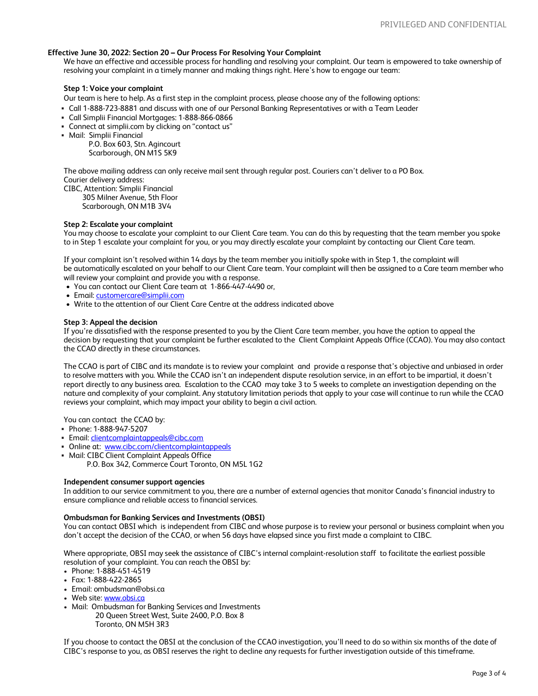## **Effective June 30, 2022: Section 20 – Our Process For Resolving Your Complaint**

We have an effective and accessible process for handling and resolving your complaint. Our team is empowered to take ownership of resolving your complaint in a timely manner and making things right. Here's how to engage our team:

#### **Step 1: Voice your complaint**

Our team is here to help. As a first step in the complaint process, please choose any of the following options:

- Call 1-888-723-8881 and discuss with one of our Personal Banking Representatives or with a Team Leader
- Call Simplii Financial Mortgages: 1-888-866-0866
- Connect at [simplii.com](https://simplii.com) by clicking on "contact us"
- Mail: Simplii Financial

P.O. Box 603, Stn. Agincourt Scarborough, ON M1S 5K9

The above mailing address can only receive mail sent through regular post. Couriers can't deliver to a PO Box.

Courier delivery address:

CIBC, Attention: Simplii Financial 305 Milner Avenue, 5th Floor Scarborough, ON M1B 3V4

## **Step 2: Escalate your complaint**

You may choose to escalate your complaint to our Client Care team. You can do this by requesting that the team member you spoke to in Step 1 escalate your complaint for you, or you may directly escalate your complaint by contacting our Client Care team.

If your complaint isn't resolved within 14 days by the team member you initially spoke with in Step 1, the complaint will be automatically escalated on your behalf to our Client Care team. Your complaint will then be assigned to a Care team member who will review your complaint and provide you with a response.

- You can contact our Client Care team at 1-866-447-4490 or,
- Email: [customercare@simplii.com](mailto:customercare@simplii.com)
- Write to the attention of our Client Care Centre at the address indicated above

## **Step 3: Appeal the decision**

If you're dissatisfied with the response presented to you by the Client Care team member, you have the option to appeal the decision by requesting that your complaint be further escalated to the Client Complaint Appeals Office (CCAO). You may also contact the CCAO directly in these circumstances.

The CCAO is part of CIBC and its mandate is to review your complaint and provide a response that's objective and unbiased in order to resolve matters with you. While the CCAO isn't an independent dispute resolution service, in an effort to be impartial, it doesn't report directly to any business area. Escalation to the CCAO may take 3 to 5 weeks to complete an investigation depending on the nature and complexity of your complaint. Any statutory limitation periods that apply to your case will continue to run while the CCAO reviews your complaint, which may impact your ability to begin a civil action.

You can contact the CCAO by:

- Phone: 1-888-947-5207
- Email: [clientcomplaintappeals@cibc.com](mailto:clientcomplaintappeals@cibc.com)
- Online at: www.cibc.com/clientcomplaintappeals
- Mail: CIBC Client Complaint Appeals Office
	- P.O. Box 342, Commerce Court Toronto, ON M5L 1G2

## **Independent consumer support agencies**

In addition to our service commitment to you, there are a number of external agencies that monitor Canada's financial industry to ensure compliance and reliable access to financial services.

#### **Ombudsman for Banking Services and Investments (OBSI)**

You can contact OBSI which is independent from CIBC and whose purpose is to review your personal or business complaint when you don't accept the decision of the CCAO, or when 56 days have elapsed since you first made a complaint to CIBC.

Where appropriate, OBSI may seek the assistance of CIBC's internal complaint-resolution staff to facilitate the earliest possible resolution of your complaint. You can reach the OBSI by:

- Phone: 1-888-451-4519
- Fax: 1-888-422-2865
- Email: [ombudsman@obsi.ca](mailto:ombudsman@obsi.ca)
- Web site: www.obsi.ca
- Mail: Ombudsman for Banking Services and Investments 20 Queen Street West, Suite 2400, P.O. Box 8 Toronto, ON M5H 3R3

If you choose to contact the OBSI at the conclusion of the CCAO investigation, you'll need to do so within six months of the date of CIBC's response to you, as OBSI reserves the right to decline any requests for further investigation outside of this timeframe.